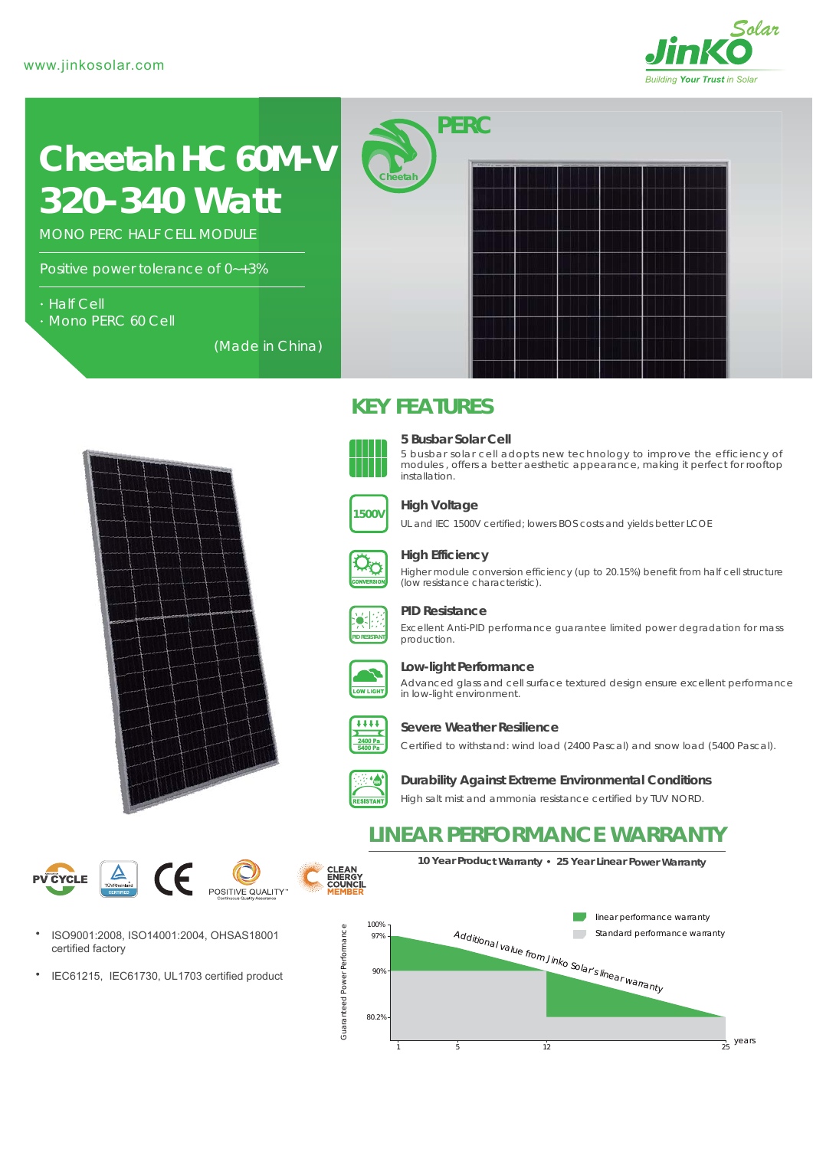

# *320-340 Watt* **Cheetah HC 60M-V**

MONO PERC HALF CELL MODULE

Positive power tolerance of 0~+3%

- Half Cell
- Mono PERC 60 Cell

(Made in China)





## **5 Busbar Solar Cell**

*PERC*

**KEY FEATURES** 

**Cheetah**

5 busbar solar cell adopts new technology to improve the efficiency of modules , offers a better aesthetic appearance, making it perfect for rooftop installation.



#### **High Voltage**

UL and IEC 1500V certified; lowers BOS costs and yields better LCOE



#### **High Efficiency**

Higher module conversion efficiency (up to 20.15%) benefit from half cell structure (low resistance characteristic).



#### **PID Resistance**

Excellent Anti-PID performance guarantee limited power degradation for mass production.



#### **Low-light Performance**

Advanced glass and cell surface textured design ensure excellent performance in low-light environment.



#### **Severe Weather Resilience**

Certified to withstand: wind load (2400 Pascal) and snow load (5400 Pascal).



**Durability Against Extreme Environmental Conditions**

High salt mist and ammonia resistance certified by TUV NORD.

# **LINEAR PERFORMANCE WARRANTY**

**10 Year Product Warranty 25 Year Linear Power Warranty**



- ISO9001:2008, ISO14001:2004, OHSAS18001 certified factory
- $\bullet$ IEC61215, IEC61730, UL1703 certified product